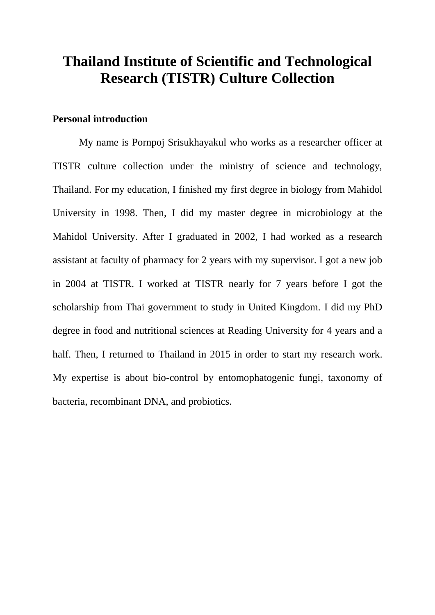# **Thailand Institute of Scientific and Technological Research (TISTR) Culture Collection**

# **Personal introduction**

My name is Pornpoj Srisukhayakul who works as a researcher officer at TISTR culture collection under the ministry of science and technology, Thailand. For my education, I finished my first degree in biology from Mahidol University in 1998. Then, I did my master degree in microbiology at the Mahidol University. After I graduated in 2002, I had worked as a research assistant at faculty of pharmacy for 2 years with my supervisor. I got a new job in 2004 at TISTR. I worked at TISTR nearly for 7 years before I got the scholarship from Thai government to study in United Kingdom. I did my PhD degree in food and nutritional sciences at Reading University for 4 years and a half. Then, I returned to Thailand in 2015 in order to start my research work. My expertise is about bio-control by entomophatogenic fungi, taxonomy of bacteria, recombinant DNA, and probiotics.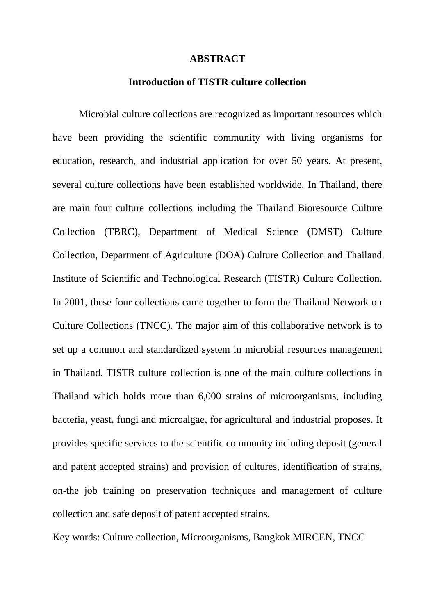#### **ABSTRACT**

#### **Introduction of TISTR culture collection**

Microbial culture collections are recognized as important resources which have been providing the scientific community with living organisms for education, research, and industrial application for over 50 years. At present, several culture collections have been established worldwide. In Thailand, there are main four culture collections including the Thailand Bioresource Culture Collection (TBRC), Department of Medical Science (DMST) Culture Collection, Department of Agriculture (DOA) Culture Collection and Thailand Institute of Scientific and Technological Research (TISTR) Culture Collection. In 2001, these four collections came together to form the Thailand Network on Culture Collections (TNCC). The major aim of this collaborative network is to set up a common and standardized system in microbial resources management in Thailand. TISTR culture collection is one of the main culture collections in Thailand which holds more than 6,000 strains of microorganisms, including bacteria, yeast, fungi and microalgae, for agricultural and industrial proposes. It provides specific services to the scientific community including deposit (general and patent accepted strains) and provision of cultures, identification of strains, on-the job training on preservation techniques and management of culture collection and safe deposit of patent accepted strains.

Key words: Culture collection, Microorganisms, Bangkok MIRCEN, TNCC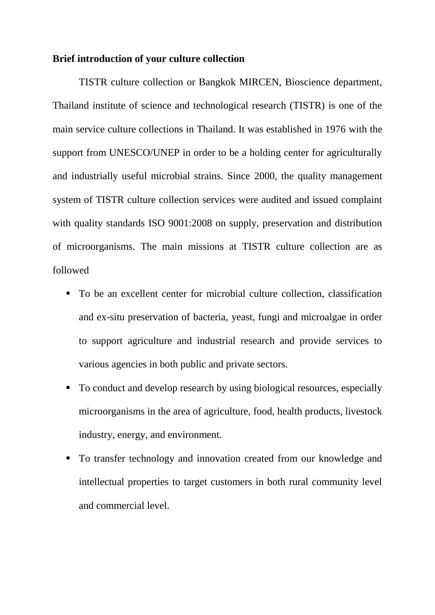### **Brief introduction of your culture collection**

TISTR culture collection or Bangkok MIRCEN, Bioscience department, Thailand institute of science and technological research (TISTR) is one of the main service culture collections in Thailand. It was established in 1976 with the support from UNESCO/UNEP in order to be a holding center for agriculturally and industrially useful microbial strains. Since 2000, the quality management system of TISTR culture collection services were audited and issued complaint with quality standards ISO 9001:2008 on supply, preservation and distribution of microorganisms. The main missions at TISTR culture collection are as followed

- To be an excellent center for microbial culture collection, classification and ex-situ preservation of bacteria, yeast, fungi and microalgae in order to support agriculture and industrial research and provide services to various agencies in both public and private sectors.
- To conduct and develop research by using biological resources, especially microorganisms in the area of agriculture, food, health products, livestock industry, energy, and environment.
- To transfer technology and innovation created from our knowledge and intellectual properties to target customers in both rural community level and commercial level.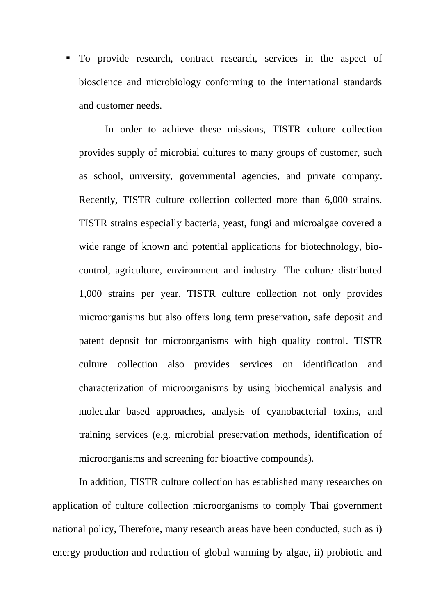$\blacksquare$  To provide research, contract research, services in the aspect of bioscience and microbiology conforming to the international standards and customer needs.

In order to achieve these missions, TISTR culture collection provides supply of microbial cultures to many groups of customer, such as school, university, governmental agencies, and private company. Recently, TISTR culture collection collected more than 6,000 strains. TISTR strains especially bacteria, yeast, fungi and microalgae covered a wide range of known and potential applications for biotechnology, biocontrol, agriculture, environment and industry. The culture distributed 1,000 strains per year. TISTR culture collection not only provides microorganisms but also offers long term preservation, safe deposit and patent deposit for microorganisms with high quality control. TISTR culture collection also provides services on identification and characterization of microorganisms by using biochemical analysis and molecular based approaches, analysis of cyanobacterial toxins, and training services (e.g. microbial preservation methods, identification of microorganisms and screening for bioactive compounds).

In addition, TISTR culture collection has established many researches on application of culture collection microorganisms to comply Thai government national policy, Therefore, many research areas have been conducted, such as i) energy production and reduction of global warming by algae, ii) probiotic and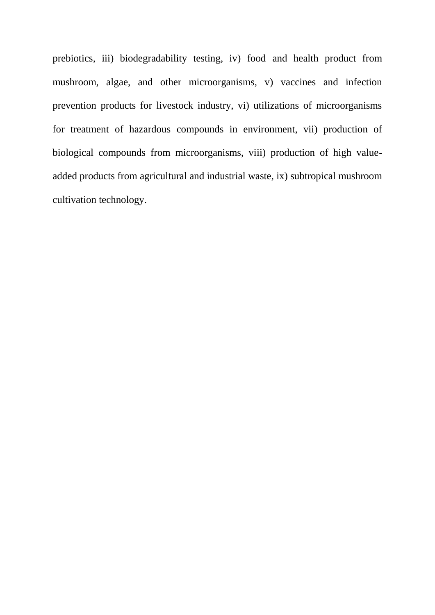prebiotics, iii) biodegradability testing, iv) food and health product from mushroom, algae, and other microorganisms, v) vaccines and infection prevention products for livestock industry, vi) utilizations of microorganisms for treatment of hazardous compounds in environment, vii) production of biological compounds from microorganisms, viii) production of high valueadded products from agricultural and industrial waste, ix) subtropical mushroom cultivation technology.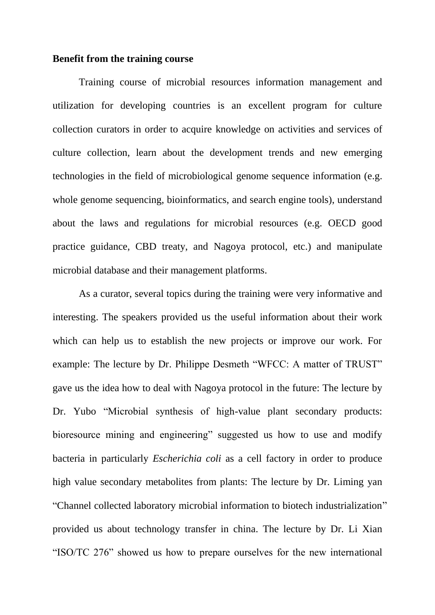### **Benefit from the training course**

Training course of microbial resources information management and utilization for developing countries is an excellent program for culture collection curators in order to acquire knowledge on activities and services of culture collection, learn about the development trends and new emerging technologies in the field of microbiological genome sequence information (e.g. whole genome sequencing, bioinformatics, and search engine tools), understand about the laws and regulations for microbial resources (e.g. OECD good practice guidance, CBD treaty, and Nagoya protocol, etc.) and manipulate microbial database and their management platforms.

As a curator, several topics during the training were very informative and interesting. The speakers provided us the useful information about their work which can help us to establish the new projects or improve our work. For example: The lecture by Dr. Philippe Desmeth "WFCC: A matter of TRUST" gave us the idea how to deal with Nagoya protocol in the future: The lecture by Dr. Yubo "Microbial synthesis of high-value plant secondary products: bioresource mining and engineering" suggested us how to use and modify bacteria in particularly *Escherichia coli* as a cell factory in order to produce high value secondary metabolites from plants: The lecture by Dr. Liming yan "Channel collected laboratory microbial information to biotech industrialization" provided us about technology transfer in china. The lecture by Dr. Li Xian "ISO/TC 276" showed us how to prepare ourselves for the new international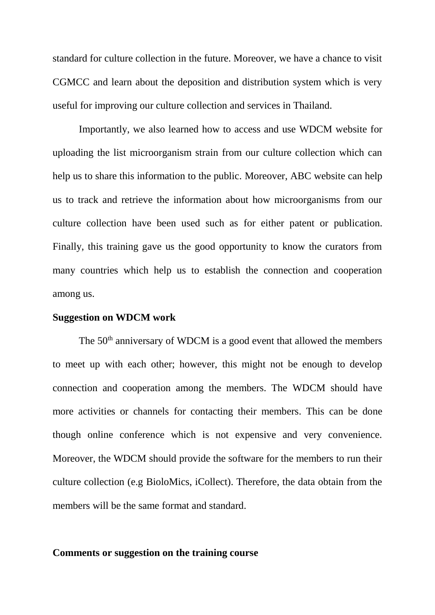standard for culture collection in the future. Moreover, we have a chance to visit CGMCC and learn about the deposition and distribution system which is very useful for improving our culture collection and services in Thailand.

Importantly, we also learned how to access and use WDCM website for uploading the list microorganism strain from our culture collection which can help us to share this information to the public. Moreover, ABC website can help us to track and retrieve the information about how microorganisms from our culture collection have been used such as for either patent or publication. Finally, this training gave us the good opportunity to know the curators from many countries which help us to establish the connection and cooperation among us.

#### **Suggestion on WDCM work**

The 50<sup>th</sup> anniversary of WDCM is a good event that allowed the members to meet up with each other; however, this might not be enough to develop connection and cooperation among the members. The WDCM should have more activities or channels for contacting their members. This can be done though online conference which is not expensive and very convenience. Moreover, the WDCM should provide the software for the members to run their culture collection (e.g BioloMics, iCollect). Therefore, the data obtain from the members will be the same format and standard.

## **Comments or suggestion on the training course**